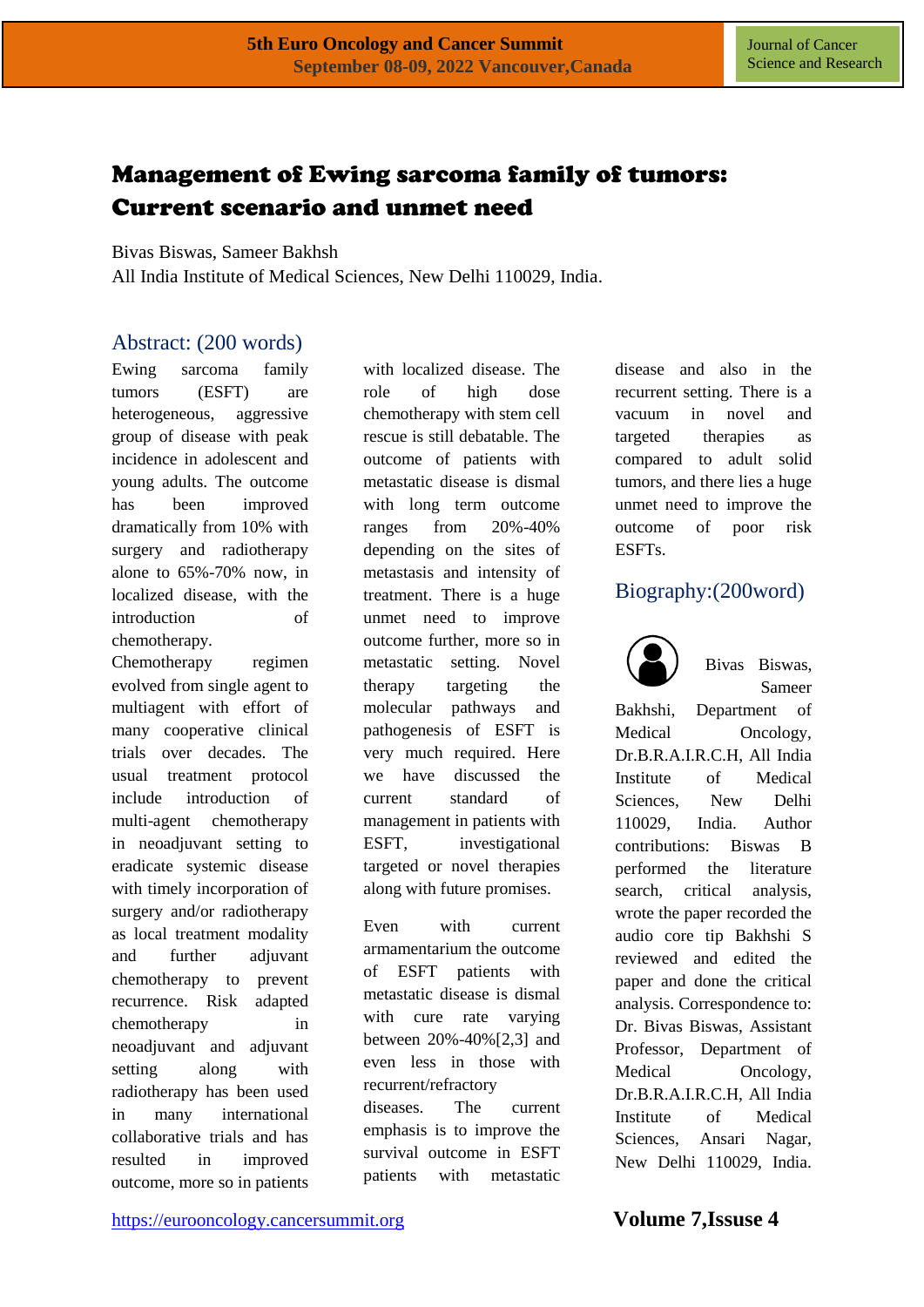# Management of Ewing sarcoma family of tumors: Current scenario and unmet need

Bivas Biswas, Sameer Bakhsh

All India Institute of Medical Sciences, New Delhi 110029, India.

### Abstract: (200 words)

Ewing sarcoma family tumors (ESFT) are heterogeneous, aggressive group of disease with peak incidence in adolescent and young adults. The outcome has been improved dramatically from 10% with surgery and radiotherapy alone to 65%-70% now, in localized disease, with the introduction of chemotherapy.

Chemotherapy regimen evolved from single agent to multiagent with effort of many cooperative clinical trials over decades. The usual treatment protocol include introduction of multi-agent chemotherapy in neoadjuvant setting to eradicate systemic disease with timely incorporation of surgery and/or radiotherapy as local treatment modality and further adjuvant chemotherapy to prevent recurrence. Risk adapted chemotherapy in neoadjuvant and adjuvant setting along with radiotherapy has been used in many international collaborative trials and has resulted in improved outcome, more so in patients

with localized disease. The role of high dose chemotherapy with stem cell rescue is still debatable. The outcome of patients with metastatic disease is dismal with long term outcome ranges from 20%-40% depending on the sites of metastasis and intensity of treatment. There is a huge unmet need to improve outcome further, more so in metastatic setting. Novel therapy targeting the molecular pathways and pathogenesis of ESFT is very much required. Here we have discussed the current standard of management in patients with ESFT, investigational targeted or novel therapies along with future promises.

Even with current armamentarium the outcome of ESFT patients with metastatic disease is dismal with cure rate varying between 20%-40%[2,3] and even less in those with recurrent/refractory diseases. The current emphasis is to improve the survival outcome in ESFT patients with metastatic

disease and also in the recurrent setting. There is a vacuum in novel and targeted therapies as compared to adult solid tumors, and there lies a huge unmet need to improve the outcome of poor risk ESFTs.

### Biography:(200word)



Bivas Biswas, Sameer

Bakhshi, Department of Medical Oncology, Dr.B.R.A.I.R.C.H, All India Institute of Medical Sciences, New Delhi 110029, India. Author contributions: Biswas B performed the literature search, critical analysis, wrote the paper recorded the audio core tip Bakhshi S reviewed and edited the paper and done the critical analysis. Correspondence to: Dr. Bivas Biswas, Assistant Professor, Department of Medical Oncology, Dr.B.R.A.I.R.C.H, All India Institute of Medical Sciences, Ansari Nagar, New Delhi 110029, India.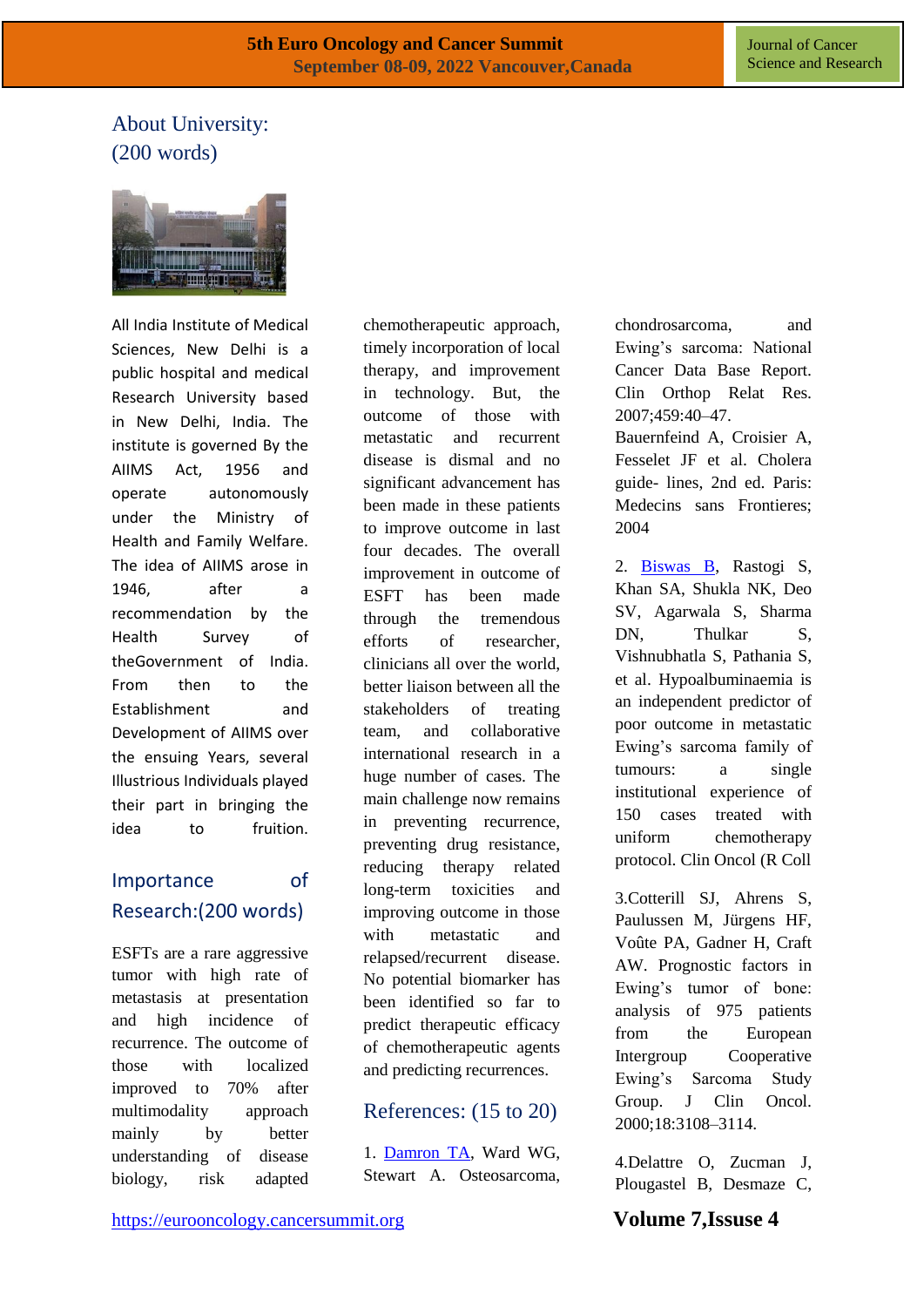## About University: (200 words)



All India Institute of Medical Sciences, New Delhi is a public hospital and medical Research University based in New Delhi, India. The institute is governed By the AIIMS Act, 1956 and operate autonomously under the Ministry of Health and Family Welfare. The idea of AIIMS arose in 1946, after a recommendation by the Health Survey of theGovernment of India. From then to the Establishment and Development of AIIMS over the ensuing Years, several Illustrious Individuals played their part in bringing the idea to fruition.

## Importance of Research:(200 words)

ESFTs are a rare aggressive tumor with high rate of metastasis at presentation and high incidence of recurrence. The outcome of those with localized improved to 70% after multimodality approach mainly by better understanding of disease biology, risk adapted chemotherapeutic approach, timely incorporation of local therapy, and improvement in technology. But, the outcome of those with metastatic and recurrent disease is dismal and no significant advancement has been made in these patients to improve outcome in last four decades. The overall improvement in outcome of ESFT has been made through the tremendous efforts of researcher, clinicians all over the world, better liaison between all the stakeholders of treating team, and collaborative international research in a huge number of cases. The main challenge now remains in preventing recurrence, preventing drug resistance, reducing therapy related long-term toxicities and improving outcome in those with metastatic and relapsed/recurrent disease. No potential biomarker has been identified so far to predict therapeutic efficacy of chemotherapeutic agents and predicting recurrences.

#### References: (15 to 20)

1. [Damron TA,](https://www.longdom.org/journal-cancer-science-and-research.html) Ward WG, Stewart A. Osteosarcoma,

chondrosarcoma, and Ewing's sarcoma: National Cancer Data Base Report. Clin Orthop Relat Res. 2007;459:40–47.

Bauernfeind A, Croisier A, Fesselet JF et al. Cholera guide- lines, 2nd ed. Paris: Medecins sans Frontieres; 2004

2. [Biswas B,](https://www.longdom.org/journal-cancer-science-and-research/archive.html) Rastogi S, Khan SA, Shukla NK, Deo SV, Agarwala S, Sharma DN, Thulkar S, Vishnubhatla S, Pathania S, et al. Hypoalbuminaemia is an independent predictor of poor outcome in metastatic Ewing's sarcoma family of tumours: a single institutional experience of 150 cases treated with uniform chemotherapy protocol. Clin Oncol (R Coll

3.Cotterill SJ, Ahrens S, Paulussen M, Jürgens HF, Voûte PA, Gadner H, Craft AW. Prognostic factors in Ewing's tumor of bone: analysis of 975 patients from the European Intergroup Cooperative Ewing's Sarcoma Study Group. J Clin Oncol. 2000;18:3108–3114.

4.Delattre O, Zucman J, Plougastel B, Desmaze C,